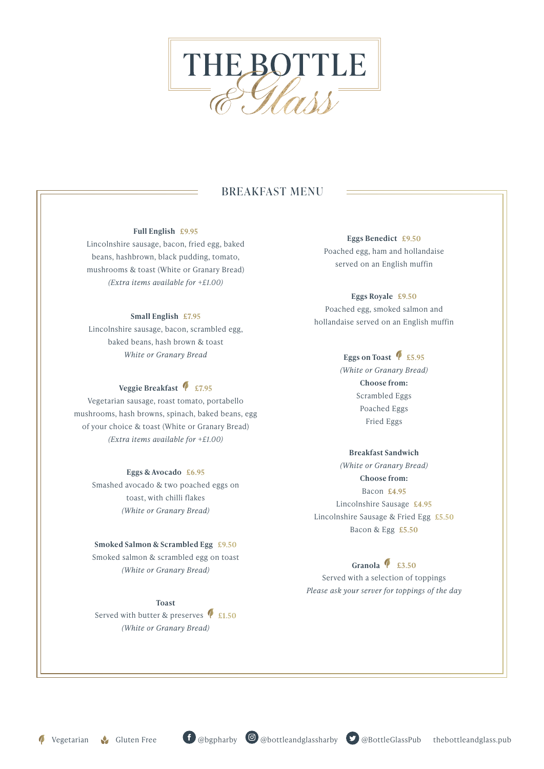

# BREAKFAST MENU

#### **Full English £9.95**

Lincolnshire sausage, bacon, fried egg, baked beans, hashbrown, black pudding, tomato, mushrooms & toast (White or Granary Bread) *(Extra items available for +£1.00)*

### **Small English £7.95**

Lincolnshire sausage, bacon, scrambled egg, baked beans, hash brown & toast *White or Granary Bread*

# Veggie Breakfast <sup>1</sup> £7.95

Vegetarian sausage, roast tomato, portabello mushrooms, hash browns, spinach, baked beans, egg of your choice & toast (White or Granary Bread) *(Extra items available for +£1.00)*

### **Eggs & Avocado £6.95**

Smashed avocado & two poached eggs on toast, with chilli flakes *(White or Granary Bread)*

#### **Smoked Salmon & Scrambled Egg £9.50**

Smoked salmon & scrambled egg on toast *(White or Granary Bread)*

**Toast** Served with butter & preserves **£1.50** *(White or Granary Bread)* 

**Eggs Benedict £9.50** Poached egg, ham and hollandaise served on an English muffin

# **Eggs Royale £9.50** Poached egg, smoked salmon and hollandaise served on an English muffin

# Eggs on Toast <sup>1</sup> £5.95

*(White or Granary Bread)* **Choose from:** Scrambled Eggs Poached Eggs Fried Eggs

## **Breakfast Sandwich**

*(White or Granary Bread)*  **Choose from:** Bacon **£4.95** Lincolnshire Sausage **£4.95** Lincolnshire Sausage & Fried Egg **£5.50** Bacon & Egg **£5.50** 

# **Granola £3.50**

Served with a selection of toppings *Please ask your server for toppings of the day*